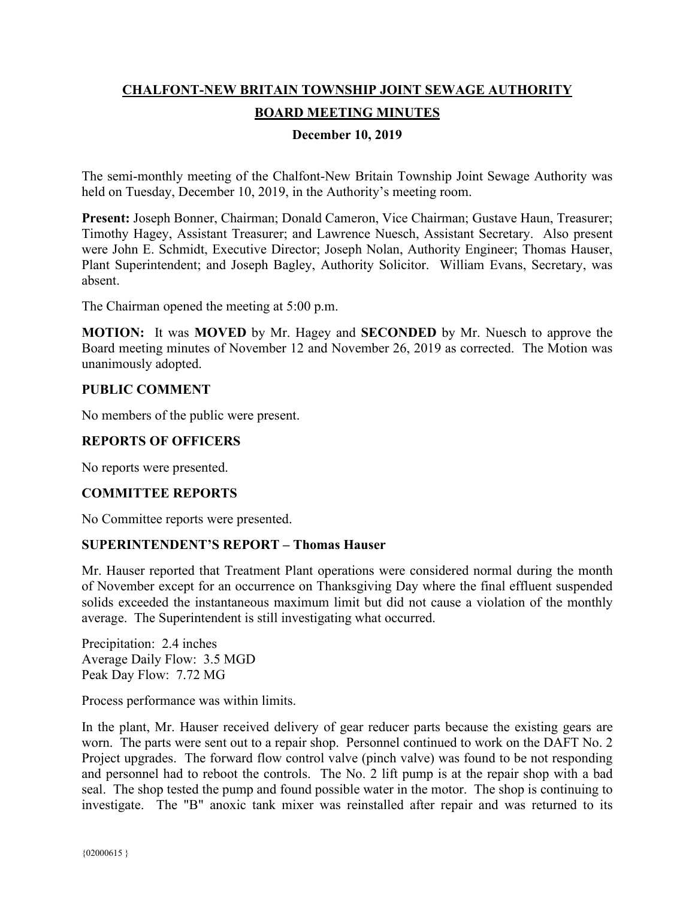# **CHALFONT-NEW BRITAIN TOWNSHIP JOINT SEWAGE AUTHORITY BOARD MEETING MINUTES**

# **December 10, 2019**

The semi-monthly meeting of the Chalfont-New Britain Township Joint Sewage Authority was held on Tuesday, December 10, 2019, in the Authority's meeting room.

**Present:** Joseph Bonner, Chairman; Donald Cameron, Vice Chairman; Gustave Haun, Treasurer; Timothy Hagey, Assistant Treasurer; and Lawrence Nuesch, Assistant Secretary. Also present were John E. Schmidt, Executive Director; Joseph Nolan, Authority Engineer; Thomas Hauser, Plant Superintendent; and Joseph Bagley, Authority Solicitor. William Evans, Secretary, was absent.

The Chairman opened the meeting at 5:00 p.m.

**MOTION:** It was **MOVED** by Mr. Hagey and **SECONDED** by Mr. Nuesch to approve the Board meeting minutes of November 12 and November 26, 2019 as corrected. The Motion was unanimously adopted.

## **PUBLIC COMMENT**

No members of the public were present.

# **REPORTS OF OFFICERS**

No reports were presented.

## **COMMITTEE REPORTS**

No Committee reports were presented.

## **SUPERINTENDENT'S REPORT – Thomas Hauser**

Mr. Hauser reported that Treatment Plant operations were considered normal during the month of November except for an occurrence on Thanksgiving Day where the final effluent suspended solids exceeded the instantaneous maximum limit but did not cause a violation of the monthly average. The Superintendent is still investigating what occurred.

Precipitation: 2.4 inches Average Daily Flow: 3.5 MGD Peak Day Flow: 7.72 MG

Process performance was within limits.

In the plant, Mr. Hauser received delivery of gear reducer parts because the existing gears are worn. The parts were sent out to a repair shop. Personnel continued to work on the DAFT No. 2 Project upgrades. The forward flow control valve (pinch valve) was found to be not responding and personnel had to reboot the controls. The No. 2 lift pump is at the repair shop with a bad seal. The shop tested the pump and found possible water in the motor. The shop is continuing to investigate. The "B" anoxic tank mixer was reinstalled after repair and was returned to its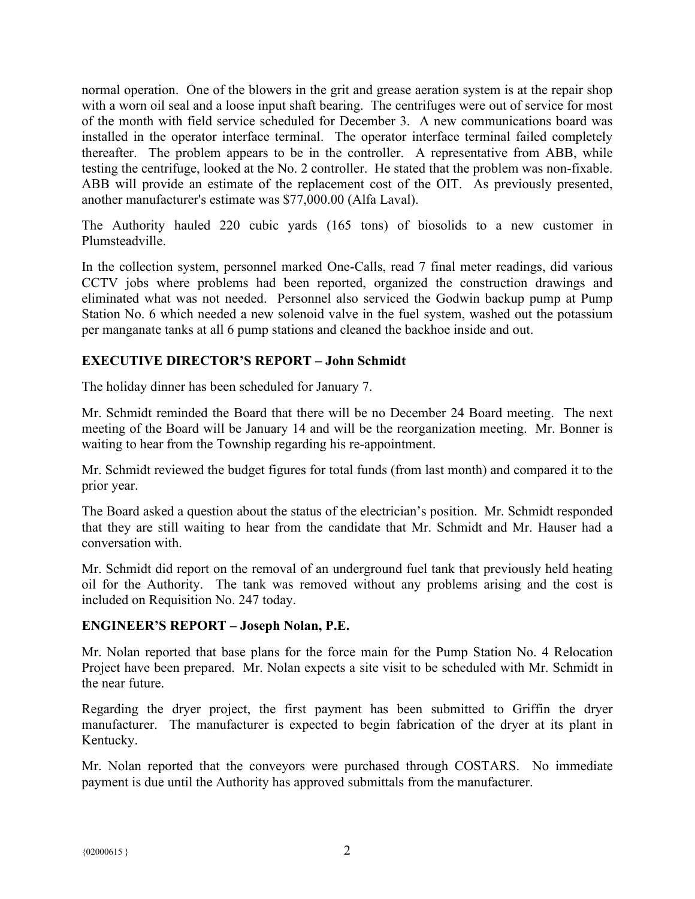normal operation. One of the blowers in the grit and grease aeration system is at the repair shop with a worn oil seal and a loose input shaft bearing. The centrifuges were out of service for most of the month with field service scheduled for December 3. A new communications board was installed in the operator interface terminal. The operator interface terminal failed completely thereafter. The problem appears to be in the controller. A representative from ABB, while testing the centrifuge, looked at the No. 2 controller. He stated that the problem was non-fixable. ABB will provide an estimate of the replacement cost of the OIT. As previously presented, another manufacturer's estimate was \$77,000.00 (Alfa Laval).

The Authority hauled 220 cubic yards (165 tons) of biosolids to a new customer in Plumsteadville.

In the collection system, personnel marked One-Calls, read 7 final meter readings, did various CCTV jobs where problems had been reported, organized the construction drawings and eliminated what was not needed. Personnel also serviced the Godwin backup pump at Pump Station No. 6 which needed a new solenoid valve in the fuel system, washed out the potassium per manganate tanks at all 6 pump stations and cleaned the backhoe inside and out.

# **EXECUTIVE DIRECTOR'S REPORT – John Schmidt**

The holiday dinner has been scheduled for January 7.

Mr. Schmidt reminded the Board that there will be no December 24 Board meeting. The next meeting of the Board will be January 14 and will be the reorganization meeting. Mr. Bonner is waiting to hear from the Township regarding his re-appointment.

Mr. Schmidt reviewed the budget figures for total funds (from last month) and compared it to the prior year.

The Board asked a question about the status of the electrician's position. Mr. Schmidt responded that they are still waiting to hear from the candidate that Mr. Schmidt and Mr. Hauser had a conversation with.

Mr. Schmidt did report on the removal of an underground fuel tank that previously held heating oil for the Authority. The tank was removed without any problems arising and the cost is included on Requisition No. 247 today.

## **ENGINEER'S REPORT – Joseph Nolan, P.E.**

Mr. Nolan reported that base plans for the force main for the Pump Station No. 4 Relocation Project have been prepared. Mr. Nolan expects a site visit to be scheduled with Mr. Schmidt in the near future.

Regarding the dryer project, the first payment has been submitted to Griffin the dryer manufacturer. The manufacturer is expected to begin fabrication of the dryer at its plant in Kentucky.

Mr. Nolan reported that the conveyors were purchased through COSTARS. No immediate payment is due until the Authority has approved submittals from the manufacturer.